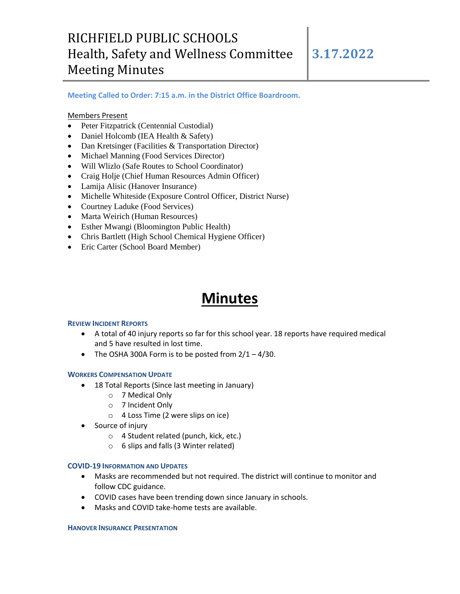# RICHFIELD PUBLIC SCHOOLS Health, Safety and Wellness Committee Meeting Minutes

### **Meeting Called to Order: 7:15 a.m. in the District Office Boardroom.**

#### Members Present

- Peter Fitzpatrick (Centennial Custodial)
- Daniel Holcomb (IEA Health & Safety)
- Dan Kretsinger (Facilities & Transportation Director)
- Michael Manning (Food Services Director)
- Will Wlizlo (Safe Routes to School Coordinator)
- Craig Holje (Chief Human Resources Admin Officer)
- Lamija Alisic (Hanover Insurance)
- Michelle Whiteside (Exposure Control Officer, District Nurse)
- Courtney Laduke (Food Services)
- Marta Weirich (Human Resources)
- Esther Mwangi (Bloomington Public Health)
- Chris Bartlett (High School Chemical Hygiene Officer)
- Eric Carter (School Board Member)

# **Minutes**

#### **REVIEW INCIDENT REPORTS**

- A total of 40 injury reports so far for this school year. 18 reports have required medical and 5 have resulted in lost time.
- The OSHA 300A Form is to be posted from  $2/1 4/30$ .

#### **WORKERS COMPENSATION UPDATE**

- 18 Total Reports (Since last meeting in January)
	- o 7 Medical Only
	- o 7 Incident Only
	- o 4 Loss Time (2 were slips on ice)
- Source of injury
	- o 4 Student related (punch, kick, etc.)
	- o 6 slips and falls (3 Winter related)

#### **COVID-19 INFORMATION AND UPDATES**

- Masks are recommended but not required. The district will continue to monitor and follow CDC guidance.
- COVID cases have been trending down since January in schools.
- Masks and COVID take-home tests are available.

#### **HANOVER INSURANCE PRESENTATION**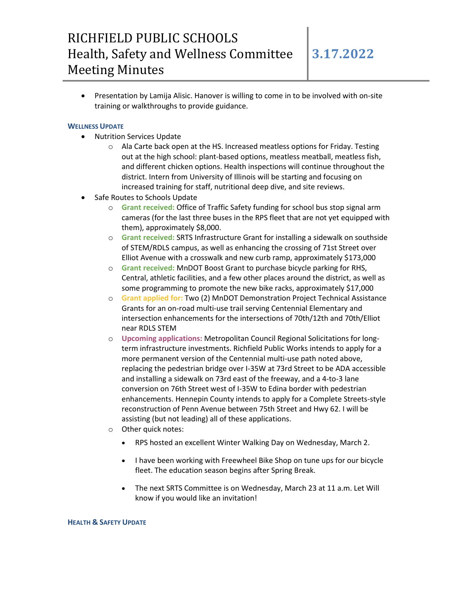Presentation by Lamija Alisic. Hanover is willing to come in to be involved with on-site training or walkthroughs to provide guidance.

#### **WELLNESS UPDATE**

- Nutrition Services Update
	- $\circ$  Ala Carte back open at the HS. Increased meatless options for Friday. Testing out at the high school: plant-based options, meatless meatball, meatless fish, and different chicken options. Health inspections will continue throughout the district. Intern from University of Illinois will be starting and focusing on increased training for staff, nutritional deep dive, and site reviews.
- Safe Routes to Schools Update
	- o **Grant received:** Office of Traffic Safety funding for school bus stop signal arm cameras (for the last three buses in the RPS fleet that are not yet equipped with them), approximately \$8,000.
	- o **Grant received:** SRTS Infrastructure Grant for installing a sidewalk on southside of STEM/RDLS campus, as well as enhancing the crossing of 71st Street over Elliot Avenue with a crosswalk and new curb ramp, approximately \$173,000
	- o **Grant received:** MnDOT Boost Grant to purchase bicycle parking for RHS, Central, athletic facilities, and a few other places around the district, as well as some programming to promote the new bike racks, approximately \$17,000
	- o **Grant applied for:** Two (2) MnDOT Demonstration Project Technical Assistance Grants for an on-road multi-use trail serving Centennial Elementary and intersection enhancements for the intersections of 70th/12th and 70th/Elliot near RDLS STEM
	- o **Upcoming applications:** Metropolitan Council Regional Solicitations for longterm infrastructure investments. Richfield Public Works intends to apply for a more permanent version of the Centennial multi-use path noted above, replacing the pedestrian bridge over I-35W at 73rd Street to be ADA accessible and installing a sidewalk on 73rd east of the freeway, and a 4-to-3 lane conversion on 76th Street west of I-35W to Edina border with pedestrian enhancements. Hennepin County intends to apply for a Complete Streets-style reconstruction of Penn Avenue between 75th Street and Hwy 62. I will be assisting (but not leading) all of these applications.
	- o Other quick notes:
		- RPS hosted an excellent Winter Walking Day on Wednesday, March 2.
		- I have been working with Freewheel Bike Shop on tune ups for our bicycle fleet. The education season begins after Spring Break.
		- The next SRTS Committee is on Wednesday, March 23 at 11 a.m. Let Will know if you would like an invitation!

#### **HEALTH & SAFETY UPDATE**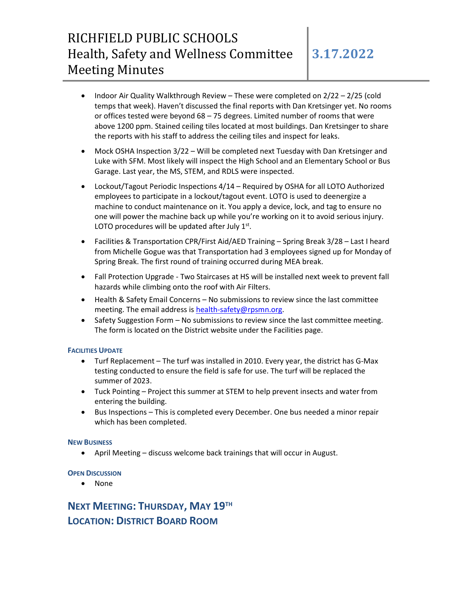# RICHFIELD PUBLIC SCHOOLS Health, Safety and Wellness Committee Meeting Minutes

- Indoor Air Quality Walkthrough Review These were completed on  $2/22 2/25$  (cold temps that week). Haven't discussed the final reports with Dan Kretsinger yet. No rooms or offices tested were beyond  $68 - 75$  degrees. Limited number of rooms that were above 1200 ppm. Stained ceiling tiles located at most buildings. Dan Kretsinger to share the reports with his staff to address the ceiling tiles and inspect for leaks.
- Mock OSHA Inspection 3/22 Will be completed next Tuesday with Dan Kretsinger and Luke with SFM. Most likely will inspect the High School and an Elementary School or Bus Garage. Last year, the MS, STEM, and RDLS were inspected.
- Lockout/Tagout Periodic Inspections 4/14 Required by OSHA for all LOTO Authorized employees to participate in a lockout/tagout event. LOTO is used to deenergize a machine to conduct maintenance on it. You apply a device, lock, and tag to ensure no one will power the machine back up while you're working on it to avoid serious injury. LOTO procedures will be updated after July  $1<sup>st</sup>$ .
- Facilities & Transportation CPR/First Aid/AED Training Spring Break 3/28 Last I heard from Michelle Gogue was that Transportation had 3 employees signed up for Monday of Spring Break. The first round of training occurred during MEA break.
- Fall Protection Upgrade Two Staircases at HS will be installed next week to prevent fall hazards while climbing onto the roof with Air Filters.
- Health & Safety Email Concerns No submissions to review since the last committee meeting. The email address is [health-safety@rpsmn.org.](mailto:health-safety@rpsmn.org)
- Safety Suggestion Form No submissions to review since the last committee meeting. The form is located on the District website under the Facilities page.

#### **FACILITIES UPDATE**

- Turf Replacement The turf was installed in 2010. Every year, the district has G-Max testing conducted to ensure the field is safe for use. The turf will be replaced the summer of 2023.
- Tuck Pointing Project this summer at STEM to help prevent insects and water from entering the building.
- Bus Inspections This is completed every December. One bus needed a minor repair which has been completed.

#### **NEW BUSINESS**

April Meeting – discuss welcome back trainings that will occur in August.

#### **OPEN DISCUSSION**

None

### **NEXT MEETING: THURSDAY, MAY 19 TH LOCATION: DISTRICT BOARD ROOM**